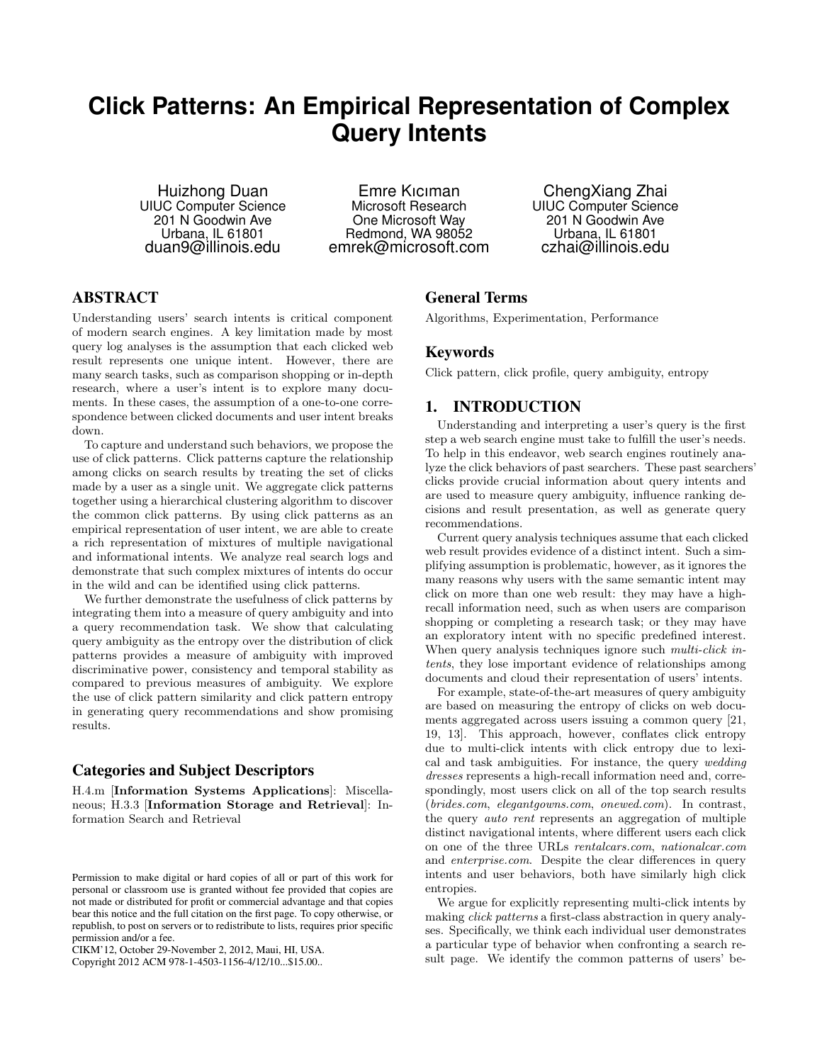# **Click Patterns: An Empirical Representation of Complex Query Intents**

Huizhong Duan UIUC Computer Science 201 N Goodwin Ave Urbana, IL 61801 duan9@illinois.edu

Emre Kıcıman Microsoft Research One Microsoft Way Redmond, WA 98052 emrek@microsoft.com

ChengXiang Zhai UIUC Computer Science 201 N Goodwin Ave Urbana, IL 61801 czhai@illinois.edu

# ABSTRACT

Understanding users' search intents is critical component of modern search engines. A key limitation made by most query log analyses is the assumption that each clicked web result represents one unique intent. However, there are many search tasks, such as comparison shopping or in-depth research, where a user's intent is to explore many documents. In these cases, the assumption of a one-to-one correspondence between clicked documents and user intent breaks down.

To capture and understand such behaviors, we propose the use of click patterns. Click patterns capture the relationship among clicks on search results by treating the set of clicks made by a user as a single unit. We aggregate click patterns together using a hierarchical clustering algorithm to discover the common click patterns. By using click patterns as an empirical representation of user intent, we are able to create a rich representation of mixtures of multiple navigational and informational intents. We analyze real search logs and demonstrate that such complex mixtures of intents do occur in the wild and can be identified using click patterns.

We further demonstrate the usefulness of click patterns by integrating them into a measure of query ambiguity and into a query recommendation task. We show that calculating query ambiguity as the entropy over the distribution of click patterns provides a measure of ambiguity with improved discriminative power, consistency and temporal stability as compared to previous measures of ambiguity. We explore the use of click pattern similarity and click pattern entropy in generating query recommendations and show promising results.

# Categories and Subject Descriptors

H.4.m [Information Systems Applications]: Miscellaneous; H.3.3 [Information Storage and Retrieval]: Information Search and Retrieval

Copyright 2012 ACM 978-1-4503-1156-4/12/10...\$15.00..

# General Terms

Algorithms, Experimentation, Performance

# Keywords

Click pattern, click profile, query ambiguity, entropy

# 1. INTRODUCTION

Understanding and interpreting a user's query is the first step a web search engine must take to fulfill the user's needs. To help in this endeavor, web search engines routinely analyze the click behaviors of past searchers. These past searchers' clicks provide crucial information about query intents and are used to measure query ambiguity, influence ranking decisions and result presentation, as well as generate query recommendations.

Current query analysis techniques assume that each clicked web result provides evidence of a distinct intent. Such a simplifying assumption is problematic, however, as it ignores the many reasons why users with the same semantic intent may click on more than one web result: they may have a highrecall information need, such as when users are comparison shopping or completing a research task; or they may have an exploratory intent with no specific predefined interest. When query analysis techniques ignore such *multi-click in*tents, they lose important evidence of relationships among documents and cloud their representation of users' intents.

For example, state-of-the-art measures of query ambiguity are based on measuring the entropy of clicks on web documents aggregated across users issuing a common query [21, 19, 13]. This approach, however, conflates click entropy due to multi-click intents with click entropy due to lexical and task ambiguities. For instance, the query wedding dresses represents a high-recall information need and, correspondingly, most users click on all of the top search results (brides.com, elegantgowns.com, onewed.com). In contrast, the query auto rent represents an aggregation of multiple distinct navigational intents, where different users each click on one of the three URLs rentalcars.com, nationalcar.com and enterprise.com. Despite the clear differences in query intents and user behaviors, both have similarly high click entropies.

We argue for explicitly representing multi-click intents by making *click patterns* a first-class abstraction in query analyses. Specifically, we think each individual user demonstrates a particular type of behavior when confronting a search result page. We identify the common patterns of users' be-

Permission to make digital or hard copies of all or part of this work for personal or classroom use is granted without fee provided that copies are not made or distributed for profit or commercial advantage and that copies bear this notice and the full citation on the first page. To copy otherwise, or republish, to post on servers or to redistribute to lists, requires prior specific permission and/or a fee.

CIKM'12, October 29-November 2, 2012, Maui, HI, USA.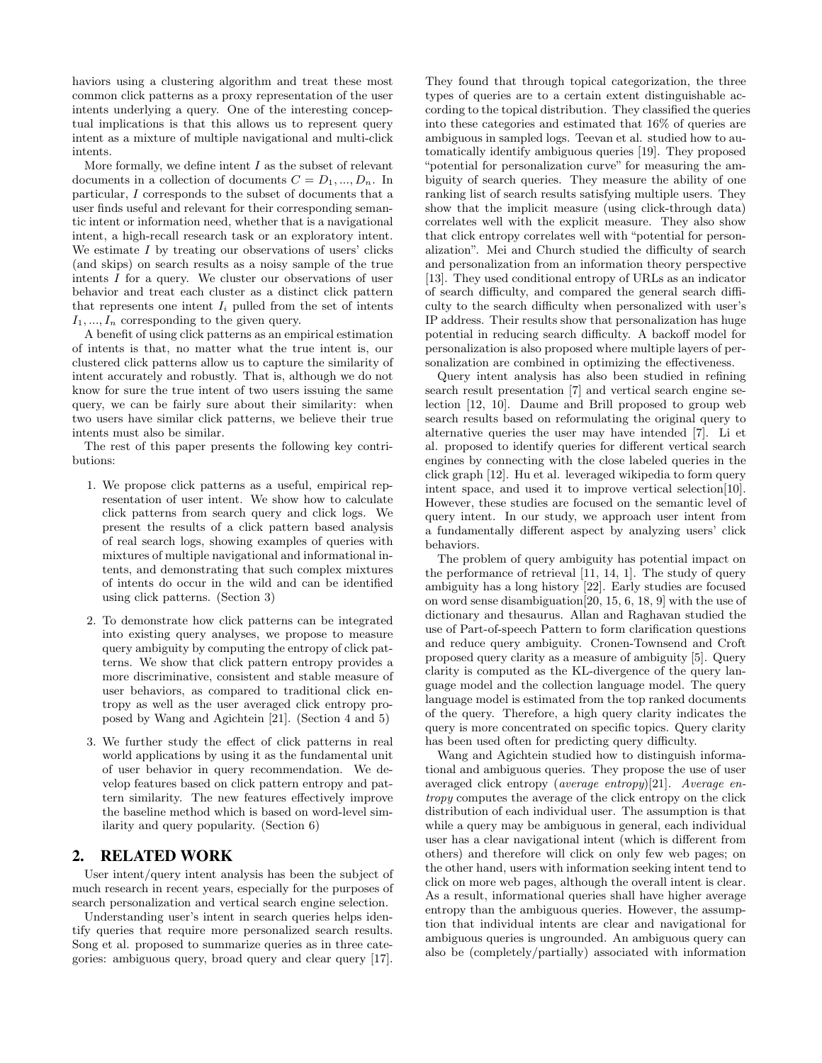haviors using a clustering algorithm and treat these most common click patterns as a proxy representation of the user intents underlying a query. One of the interesting conceptual implications is that this allows us to represent query intent as a mixture of multiple navigational and multi-click intents.

More formally, we define intent  $I$  as the subset of relevant documents in a collection of documents  $C = D_1, ..., D_n$ . In particular, I corresponds to the subset of documents that a user finds useful and relevant for their corresponding semantic intent or information need, whether that is a navigational intent, a high-recall research task or an exploratory intent. We estimate  $I$  by treating our observations of users' clicks (and skips) on search results as a noisy sample of the true intents I for a query. We cluster our observations of user behavior and treat each cluster as a distinct click pattern that represents one intent  $I_i$  pulled from the set of intents  $I_1, ..., I_n$  corresponding to the given query.

A benefit of using click patterns as an empirical estimation of intents is that, no matter what the true intent is, our clustered click patterns allow us to capture the similarity of intent accurately and robustly. That is, although we do not know for sure the true intent of two users issuing the same query, we can be fairly sure about their similarity: when two users have similar click patterns, we believe their true intents must also be similar.

The rest of this paper presents the following key contributions:

- 1. We propose click patterns as a useful, empirical representation of user intent. We show how to calculate click patterns from search query and click logs. We present the results of a click pattern based analysis of real search logs, showing examples of queries with mixtures of multiple navigational and informational intents, and demonstrating that such complex mixtures of intents do occur in the wild and can be identified using click patterns. (Section 3)
- 2. To demonstrate how click patterns can be integrated into existing query analyses, we propose to measure query ambiguity by computing the entropy of click patterns. We show that click pattern entropy provides a more discriminative, consistent and stable measure of user behaviors, as compared to traditional click entropy as well as the user averaged click entropy proposed by Wang and Agichtein [21]. (Section 4 and 5)
- 3. We further study the effect of click patterns in real world applications by using it as the fundamental unit of user behavior in query recommendation. We develop features based on click pattern entropy and pattern similarity. The new features effectively improve the baseline method which is based on word-level similarity and query popularity. (Section 6)

# 2. RELATED WORK

User intent/query intent analysis has been the subject of much research in recent years, especially for the purposes of search personalization and vertical search engine selection.

Understanding user's intent in search queries helps identify queries that require more personalized search results. Song et al. proposed to summarize queries as in three categories: ambiguous query, broad query and clear query [17]. They found that through topical categorization, the three types of queries are to a certain extent distinguishable according to the topical distribution. They classified the queries into these categories and estimated that 16% of queries are ambiguous in sampled logs. Teevan et al. studied how to automatically identify ambiguous queries [19]. They proposed "potential for personalization curve" for measuring the ambiguity of search queries. They measure the ability of one ranking list of search results satisfying multiple users. They show that the implicit measure (using click-through data) correlates well with the explicit measure. They also show that click entropy correlates well with "potential for personalization". Mei and Church studied the difficulty of search and personalization from an information theory perspective [13]. They used conditional entropy of URLs as an indicator of search difficulty, and compared the general search difficulty to the search difficulty when personalized with user's IP address. Their results show that personalization has huge potential in reducing search difficulty. A backoff model for personalization is also proposed where multiple layers of personalization are combined in optimizing the effectiveness.

Query intent analysis has also been studied in refining search result presentation [7] and vertical search engine selection [12, 10]. Daume and Brill proposed to group web search results based on reformulating the original query to alternative queries the user may have intended [7]. Li et al. proposed to identify queries for different vertical search engines by connecting with the close labeled queries in the click graph [12]. Hu et al. leveraged wikipedia to form query intent space, and used it to improve vertical selection[10]. However, these studies are focused on the semantic level of query intent. In our study, we approach user intent from a fundamentally different aspect by analyzing users' click behaviors.

The problem of query ambiguity has potential impact on the performance of retrieval [11, 14, 1]. The study of query ambiguity has a long history [22]. Early studies are focused on word sense disambiguation[20, 15, 6, 18, 9] with the use of dictionary and thesaurus. Allan and Raghavan studied the use of Part-of-speech Pattern to form clarification questions and reduce query ambiguity. Cronen-Townsend and Croft proposed query clarity as a measure of ambiguity [5]. Query clarity is computed as the KL-divergence of the query language model and the collection language model. The query language model is estimated from the top ranked documents of the query. Therefore, a high query clarity indicates the query is more concentrated on specific topics. Query clarity has been used often for predicting query difficulty.

Wang and Agichtein studied how to distinguish informational and ambiguous queries. They propose the use of user averaged click entropy (average entropy)[21]. Average entropy computes the average of the click entropy on the click distribution of each individual user. The assumption is that while a query may be ambiguous in general, each individual user has a clear navigational intent (which is different from others) and therefore will click on only few web pages; on the other hand, users with information seeking intent tend to click on more web pages, although the overall intent is clear. As a result, informational queries shall have higher average entropy than the ambiguous queries. However, the assumption that individual intents are clear and navigational for ambiguous queries is ungrounded. An ambiguous query can also be (completely/partially) associated with information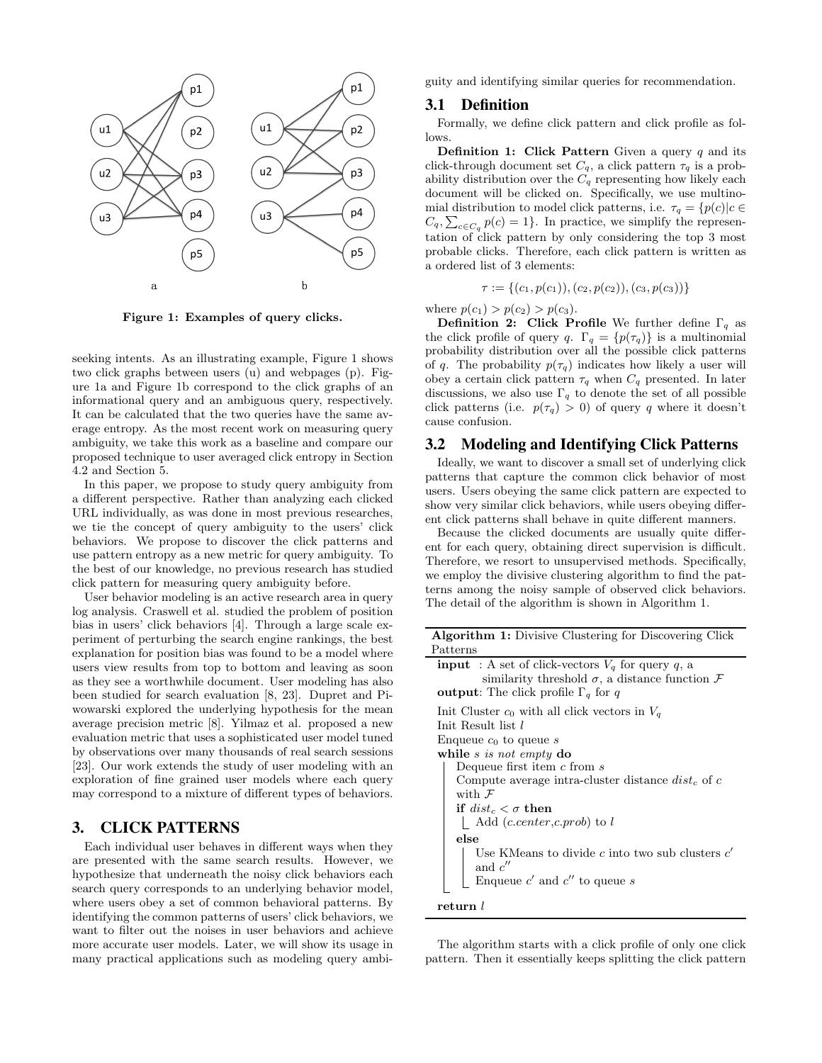

Figure 1: Examples of query clicks.

seeking intents. As an illustrating example, Figure 1 shows two click graphs between users (u) and webpages (p). Figure 1a and Figure 1b correspond to the click graphs of an informational query and an ambiguous query, respectively. It can be calculated that the two queries have the same average entropy. As the most recent work on measuring query ambiguity, we take this work as a baseline and compare our proposed technique to user averaged click entropy in Section 4.2 and Section 5.

In this paper, we propose to study query ambiguity from a different perspective. Rather than analyzing each clicked URL individually, as was done in most previous researches, we tie the concept of query ambiguity to the users' click behaviors. We propose to discover the click patterns and use pattern entropy as a new metric for query ambiguity. To the best of our knowledge, no previous research has studied click pattern for measuring query ambiguity before.

User behavior modeling is an active research area in query log analysis. Craswell et al. studied the problem of position bias in users' click behaviors [4]. Through a large scale experiment of perturbing the search engine rankings, the best explanation for position bias was found to be a model where users view results from top to bottom and leaving as soon as they see a worthwhile document. User modeling has also been studied for search evaluation [8, 23]. Dupret and Piwowarski explored the underlying hypothesis for the mean average precision metric [8]. Yilmaz et al. proposed a new evaluation metric that uses a sophisticated user model tuned by observations over many thousands of real search sessions [23]. Our work extends the study of user modeling with an exploration of fine grained user models where each query may correspond to a mixture of different types of behaviors.

# 3. CLICK PATTERNS

Each individual user behaves in different ways when they are presented with the same search results. However, we hypothesize that underneath the noisy click behaviors each search query corresponds to an underlying behavior model, where users obey a set of common behavioral patterns. By identifying the common patterns of users' click behaviors, we want to filter out the noises in user behaviors and achieve more accurate user models. Later, we will show its usage in many practical applications such as modeling query ambiguity and identifying similar queries for recommendation.

### 3.1 Definition

Formally, we define click pattern and click profile as follows.

**Definition 1: Click Pattern** Given a query q and its click-through document set  $C_q$ , a click pattern  $\tau_q$  is a probability distribution over the  $C_q$  representing how likely each document will be clicked on. Specifically, we use multinomial distribution to model click patterns, i.e.  $\tau_q = \{p(c) | c \in$  $C_q$ ,  $\sum_{c \in C_q} p(c) = 1$ . In practice, we simplify the representation of click pattern by only considering the top 3 most probable clicks. Therefore, each click pattern is written as a ordered list of 3 elements:

$$
\tau := \{(c_1, p(c_1)), (c_2, p(c_2)), (c_3, p(c_3))\}
$$

where  $p(c_1) > p(c_2) > p(c_3)$ .

**Definition 2:** Click Profile We further define  $\Gamma_q$  as the click profile of query q.  $\Gamma_q = \{p(\tau_q)\}\$ is a multinomial probability distribution over all the possible click patterns of q. The probability  $p(\tau_q)$  indicates how likely a user will obey a certain click pattern  $\tau_q$  when  $C_q$  presented. In later discussions, we also use  $\Gamma_q$  to denote the set of all possible click patterns (i.e.  $p(\tau_q) > 0$ ) of query q where it doesn't cause confusion.

### 3.2 Modeling and Identifying Click Patterns

Ideally, we want to discover a small set of underlying click patterns that capture the common click behavior of most users. Users obeying the same click pattern are expected to show very similar click behaviors, while users obeying different click patterns shall behave in quite different manners.

Because the clicked documents are usually quite different for each query, obtaining direct supervision is difficult. Therefore, we resort to unsupervised methods. Specifically, we employ the divisive clustering algorithm to find the patterns among the noisy sample of observed click behaviors. The detail of the algorithm is shown in Algorithm 1.

| <b>Algorithm 1:</b> Divisive Clustering for Discovering Click    |
|------------------------------------------------------------------|
| Patterns                                                         |
| <b>input</b> : A set of click-vectors $V_q$ for query q, a       |
| similarity threshold $\sigma$ , a distance function $\mathcal F$ |
| <b>output:</b> The click profile $\Gamma_q$ for q                |
| Init Cluster $c_0$ with all click vectors in $V_a$               |
| Init Result list l                                               |
| Enqueue $c_0$ to queue s                                         |
| while s is not empty do                                          |
| Dequeue first item c from s                                      |
| Compute average intra-cluster distance $dist_c$ of c             |
| with $\mathcal F$                                                |
| if $dist_c < \sigma$ then                                        |
| $\vert$ Add ( <i>c.center,c.prob</i> ) to l                      |
| else                                                             |
| Use KMeans to divide $c$ into two sub clusters $c'$              |
| and $c''$                                                        |
| Enque<br>ue $c^{\prime}$ and $c^{\prime\prime}$ to queue<br>$s$  |
| return <i>l</i>                                                  |

The algorithm starts with a click profile of only one click pattern. Then it essentially keeps splitting the click pattern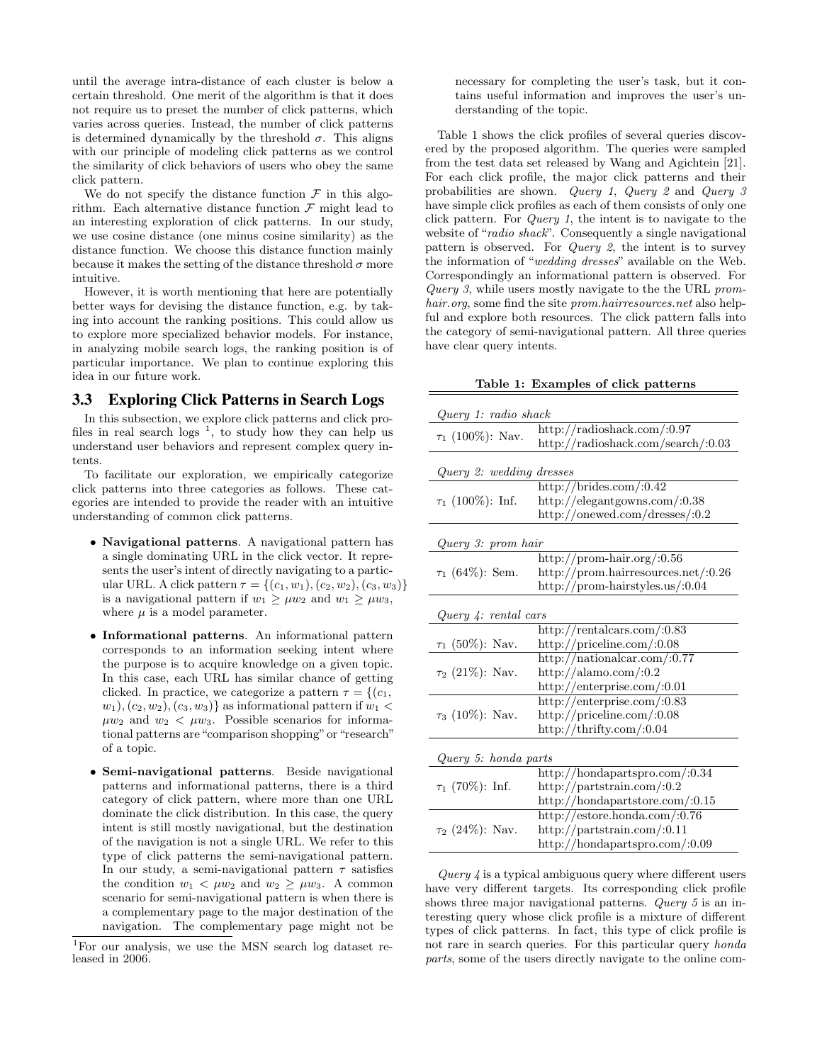until the average intra-distance of each cluster is below a certain threshold. One merit of the algorithm is that it does not require us to preset the number of click patterns, which varies across queries. Instead, the number of click patterns is determined dynamically by the threshold  $\sigma$ . This aligns with our principle of modeling click patterns as we control the similarity of click behaviors of users who obey the same click pattern.

We do not specify the distance function  $\mathcal F$  in this algorithm. Each alternative distance function  $\mathcal F$  might lead to an interesting exploration of click patterns. In our study, we use cosine distance (one minus cosine similarity) as the distance function. We choose this distance function mainly because it makes the setting of the distance threshold  $\sigma$  more intuitive.

However, it is worth mentioning that here are potentially better ways for devising the distance function, e.g. by taking into account the ranking positions. This could allow us to explore more specialized behavior models. For instance, in analyzing mobile search logs, the ranking position is of particular importance. We plan to continue exploring this idea in our future work.

### 3.3 Exploring Click Patterns in Search Logs

In this subsection, we explore click patterns and click profiles in real search logs<sup>1</sup>, to study how they can help us understand user behaviors and represent complex query intents.

To facilitate our exploration, we empirically categorize click patterns into three categories as follows. These categories are intended to provide the reader with an intuitive understanding of common click patterns.

- Navigational patterns. A navigational pattern has a single dominating URL in the click vector. It represents the user's intent of directly navigating to a particular URL. A click pattern  $\tau = \{(c_1, w_1), (c_2, w_2), (c_3, w_3)\}\;$ is a navigational pattern if  $w_1 \ge \mu w_2$  and  $w_1 \ge \mu w_3$ , where  $\mu$  is a model parameter.
- Informational patterns. An informational pattern corresponds to an information seeking intent where the purpose is to acquire knowledge on a given topic. In this case, each URL has similar chance of getting clicked. In practice, we categorize a pattern  $\tau = \{(c_1,$  $(w_1), (c_2, w_2), (c_3, w_3)$  as informational pattern if  $w_1 <$  $\mu w_2$  and  $w_2 < \mu w_3$ . Possible scenarios for informational patterns are"comparison shopping"or "research" of a topic.
- Semi-navigational patterns. Beside navigational patterns and informational patterns, there is a third category of click pattern, where more than one URL dominate the click distribution. In this case, the query intent is still mostly navigational, but the destination of the navigation is not a single URL. We refer to this type of click patterns the semi-navigational pattern. In our study, a semi-navigational pattern  $\tau$  satisfies the condition  $w_1 < \mu w_2$  and  $w_2 \ge \mu w_3$ . A common scenario for semi-navigational pattern is when there is a complementary page to the major destination of the navigation. The complementary page might not be

<sup>1</sup>For our analysis, we use the MSN search log dataset released in 2006.

necessary for completing the user's task, but it contains useful information and improves the user's understanding of the topic.

Table 1 shows the click profiles of several queries discovered by the proposed algorithm. The queries were sampled from the test data set released by Wang and Agichtein [21]. For each click profile, the major click patterns and their probabilities are shown. Query 1, Query 2 and Query 3 have simple click profiles as each of them consists of only one click pattern. For Query 1, the intent is to navigate to the website of "*radio shack*". Consequently a single navigational pattern is observed. For Query 2, the intent is to survey the information of "wedding dresses" available on the Web. Correspondingly an informational pattern is observed. For Query 3, while users mostly navigate to the the URL promhair.org, some find the site prom.hairresources.net also helpful and explore both resources. The click pattern falls into the category of semi-navigational pattern. All three queries have clear query intents.

|  | Table 1: Examples of click patterns |  |  |
|--|-------------------------------------|--|--|
|--|-------------------------------------|--|--|

| Query 1: radio shock     |                                                                                                                                           |
|--------------------------|-------------------------------------------------------------------------------------------------------------------------------------------|
| $\tau_1$ (100%): Nav.    | http://radioshack.com/:0.97<br>http://radioshack.com/search/:0.03                                                                         |
| Query 2: wedding dresses |                                                                                                                                           |
| $\tau_1$ (100%): Inf.    | http://brides.com/:0.42<br>http://elegantgowns.com/:0.38<br>http://onewed.com/dresses/:0.2                                                |
| Query 3: prom hair       |                                                                                                                                           |
| $\tau_1$ (64%): Sem.     | $\frac{http://prom-hair.org/:0.56}{http://prom-hair.org/:0.56}$<br>http://prom.hairresources.net/:0.26<br>http://prom-hairstyles.us/:0.04 |
| Query 4: rental cars     |                                                                                                                                           |
| $\tau_1$ (50%): Nav.     | http://rentalcars.com/:0.83<br>http://priceline.com/:0.08                                                                                 |
| $\tau_2$ (21%): Nav.     | $\frac{http://nationalcar.com/:0.77}{http://nationalcar.com/:0.77}$<br>http://alamo.com/:0.2<br>http://enterprise.com/:0.01               |
| $\tau_3$ (10%): Nav.     | http://enterprise.com/:0.83<br>http://priceline.com/:0.08<br>http://thrifty.com/:0.04                                                     |
| Query 5: honda parts     |                                                                                                                                           |
| $\tau_1$ (70%): Inf.     | http://hondapartspro.com/:0.34<br>http://partstrain.com/:0.2<br>http://hondapartstore.com/:0.15                                           |
| $\tau_2$ (24%): Nav.     | http://estore.honda.com/:0.76<br>http://partstrain.com/:0.11<br>http://hondapartspro.com/:0.09                                            |

Query  $\sqrt{4}$  is a typical ambiguous query where different users have very different targets. Its corresponding click profile shows three major navigational patterns. Query 5 is an interesting query whose click profile is a mixture of different types of click patterns. In fact, this type of click profile is not rare in search queries. For this particular query honda parts, some of the users directly navigate to the online com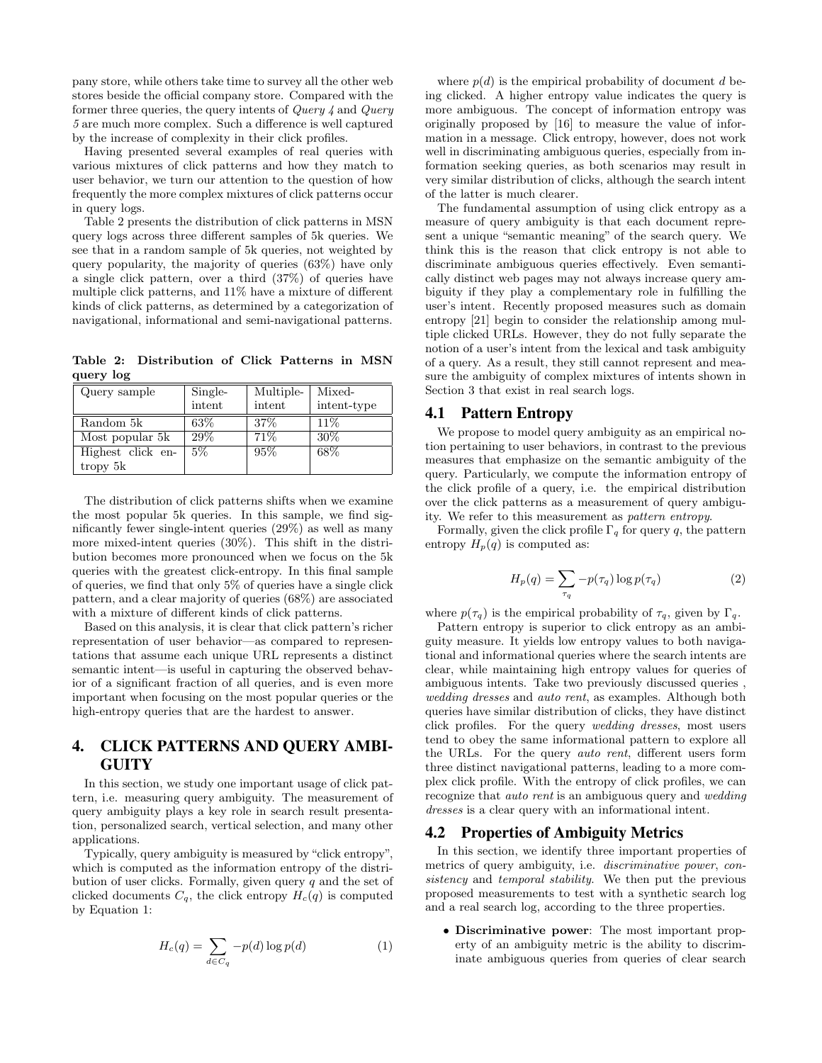pany store, while others take time to survey all the other web stores beside the official company store. Compared with the former three queries, the query intents of Query 4 and Query 5 are much more complex. Such a difference is well captured by the increase of complexity in their click profiles.

Having presented several examples of real queries with various mixtures of click patterns and how they match to user behavior, we turn our attention to the question of how frequently the more complex mixtures of click patterns occur in query logs.

Table 2 presents the distribution of click patterns in MSN query logs across three different samples of 5k queries. We see that in a random sample of 5k queries, not weighted by query popularity, the majority of queries (63%) have only a single click pattern, over a third (37%) of queries have multiple click patterns, and 11% have a mixture of different kinds of click patterns, as determined by a categorization of navigational, informational and semi-navigational patterns.

Table 2: Distribution of Click Patterns in MSN query log

| Query sample      | Single- | Multiple- | Mixed-      |
|-------------------|---------|-----------|-------------|
|                   | intent  | intent    | intent-type |
| Random 5k         | 63\%    | 37\%      | 11\%        |
| Most popular 5k   | 29\%    | 71%       | 30%         |
| Highest click en- | $5\%$   | 95%       | 68\%        |
| tropy 5k          |         |           |             |

The distribution of click patterns shifts when we examine the most popular 5k queries. In this sample, we find significantly fewer single-intent queries (29%) as well as many more mixed-intent queries (30%). This shift in the distribution becomes more pronounced when we focus on the 5k queries with the greatest click-entropy. In this final sample of queries, we find that only 5% of queries have a single click pattern, and a clear majority of queries (68%) are associated with a mixture of different kinds of click patterns.

Based on this analysis, it is clear that click pattern's richer representation of user behavior—as compared to representations that assume each unique URL represents a distinct semantic intent—is useful in capturing the observed behavior of a significant fraction of all queries, and is even more important when focusing on the most popular queries or the high-entropy queries that are the hardest to answer.

# 4. CLICK PATTERNS AND QUERY AMBI-GUITY

In this section, we study one important usage of click pattern, i.e. measuring query ambiguity. The measurement of query ambiguity plays a key role in search result presentation, personalized search, vertical selection, and many other applications.

Typically, query ambiguity is measured by "click entropy", which is computed as the information entropy of the distribution of user clicks. Formally, given query  $q$  and the set of clicked documents  $C_q$ , the click entropy  $H_c(q)$  is computed by Equation 1:

$$
H_c(q) = \sum_{d \in C_q} -p(d) \log p(d) \tag{1}
$$

where  $p(d)$  is the empirical probability of document d being clicked. A higher entropy value indicates the query is more ambiguous. The concept of information entropy was originally proposed by [16] to measure the value of information in a message. Click entropy, however, does not work well in discriminating ambiguous queries, especially from information seeking queries, as both scenarios may result in very similar distribution of clicks, although the search intent of the latter is much clearer.

The fundamental assumption of using click entropy as a measure of query ambiguity is that each document represent a unique "semantic meaning" of the search query. We think this is the reason that click entropy is not able to discriminate ambiguous queries effectively. Even semantically distinct web pages may not always increase query ambiguity if they play a complementary role in fulfilling the user's intent. Recently proposed measures such as domain entropy [21] begin to consider the relationship among multiple clicked URLs. However, they do not fully separate the notion of a user's intent from the lexical and task ambiguity of a query. As a result, they still cannot represent and measure the ambiguity of complex mixtures of intents shown in Section 3 that exist in real search logs.

### 4.1 Pattern Entropy

We propose to model query ambiguity as an empirical notion pertaining to user behaviors, in contrast to the previous measures that emphasize on the semantic ambiguity of the query. Particularly, we compute the information entropy of the click profile of a query, i.e. the empirical distribution over the click patterns as a measurement of query ambiguity. We refer to this measurement as pattern entropy.

Formally, given the click profile  $\Gamma_q$  for query q, the pattern entropy  $H_p(q)$  is computed as:

$$
H_p(q) = \sum_{\tau_q} -p(\tau_q) \log p(\tau_q)
$$
 (2)

where  $p(\tau_q)$  is the empirical probability of  $\tau_q$ , given by  $\Gamma_q$ .

Pattern entropy is superior to click entropy as an ambiguity measure. It yields low entropy values to both navigational and informational queries where the search intents are clear, while maintaining high entropy values for queries of ambiguous intents. Take two previously discussed queries , wedding dresses and auto rent, as examples. Although both queries have similar distribution of clicks, they have distinct click profiles. For the query wedding dresses, most users tend to obey the same informational pattern to explore all the URLs. For the query auto rent, different users form three distinct navigational patterns, leading to a more complex click profile. With the entropy of click profiles, we can recognize that auto rent is an ambiguous query and wedding dresses is a clear query with an informational intent.

# 4.2 Properties of Ambiguity Metrics

In this section, we identify three important properties of metrics of query ambiguity, i.e. discriminative power, consistency and temporal stability. We then put the previous proposed measurements to test with a synthetic search log and a real search log, according to the three properties.

• Discriminative power: The most important property of an ambiguity metric is the ability to discriminate ambiguous queries from queries of clear search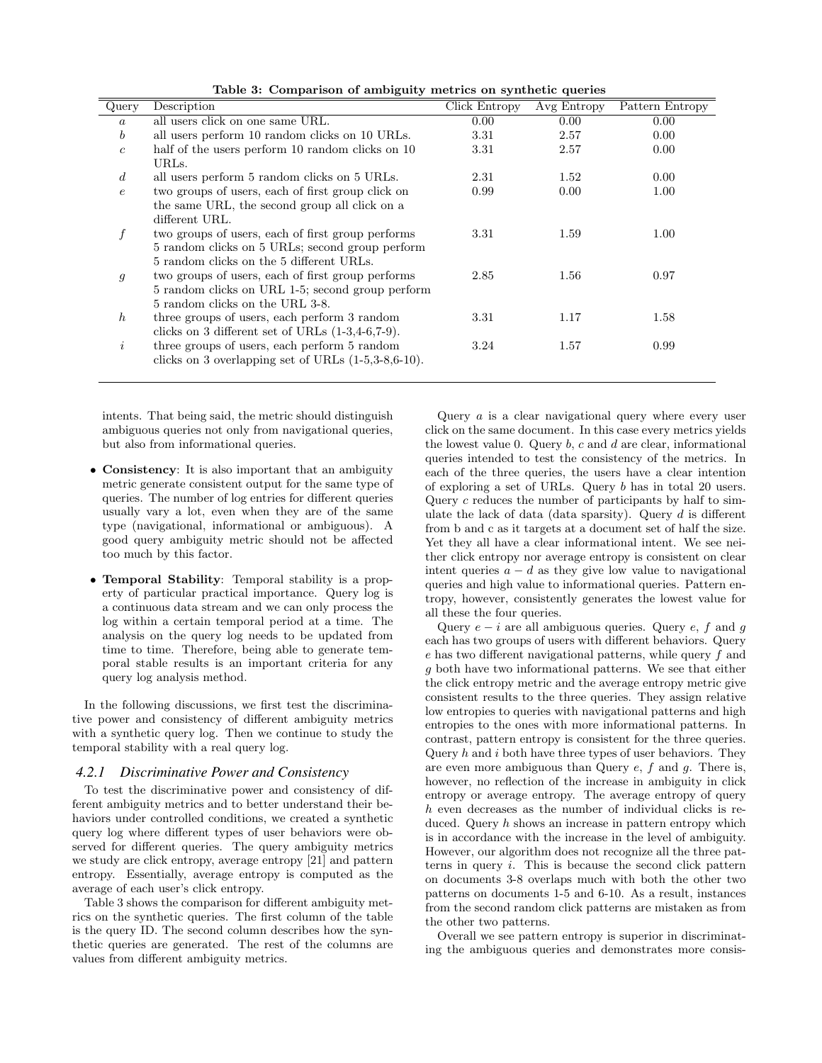|  |  | Table 3: Comparison of ambiguity metrics on synthetic queries |  |  |  |  |
|--|--|---------------------------------------------------------------|--|--|--|--|
|--|--|---------------------------------------------------------------|--|--|--|--|

| Query            | Description                                            | Click Entropy | Avg Entropy | Pattern Entropy |
|------------------|--------------------------------------------------------|---------------|-------------|-----------------|
| $\boldsymbol{a}$ | all users click on one same URL.                       | 0.00          | 0.00        | 0.00            |
| b                | all users perform 10 random clicks on 10 URLs.         | 3.31          | 2.57        | 0.00            |
| $\mathfrak{c}$   | half of the users perform 10 random clicks on 10       | 3.31          | 2.57        | 0.00            |
|                  | URL <sub>s</sub> .                                     |               |             |                 |
| d                | all users perform 5 random clicks on 5 URLs.           | 2.31          | 1.52        | 0.00            |
| $\epsilon$       | two groups of users, each of first group click on      | 0.99          | 0.00        | 1.00            |
|                  | the same URL, the second group all click on a          |               |             |                 |
|                  | different URL.                                         |               |             |                 |
| f                | two groups of users, each of first group performs      | 3.31          | 1.59        | 1.00            |
|                  | 5 random clicks on 5 URLs; second group perform        |               |             |                 |
|                  | 5 random clicks on the 5 different URLs.               |               |             |                 |
| $\mathfrak{g}$   | two groups of users, each of first group performs      | 2.85          | 1.56        | 0.97            |
|                  | 5 random clicks on URL 1-5; second group perform       |               |             |                 |
|                  | 5 random clicks on the URL 3-8.                        |               |             |                 |
| $\boldsymbol{h}$ | three groups of users, each perform 3 random           | 3.31          | 1.17        | 1.58            |
|                  | clicks on 3 different set of URLs $(1-3,4-6,7-9)$ .    |               |             |                 |
| $\dot{i}$        | three groups of users, each perform 5 random           | 3.24          | 1.57        | 0.99            |
|                  | clicks on 3 overlapping set of URLs $(1-5,3-8,6-10)$ . |               |             |                 |
|                  |                                                        |               |             |                 |
|                  |                                                        |               |             |                 |

intents. That being said, the metric should distinguish ambiguous queries not only from navigational queries, but also from informational queries.

- Consistency: It is also important that an ambiguity metric generate consistent output for the same type of queries. The number of log entries for different queries usually vary a lot, even when they are of the same type (navigational, informational or ambiguous). A good query ambiguity metric should not be affected too much by this factor.
- Temporal Stability: Temporal stability is a property of particular practical importance. Query log is a continuous data stream and we can only process the log within a certain temporal period at a time. The analysis on the query log needs to be updated from time to time. Therefore, being able to generate temporal stable results is an important criteria for any query log analysis method.

In the following discussions, we first test the discriminative power and consistency of different ambiguity metrics with a synthetic query log. Then we continue to study the temporal stability with a real query log.

#### *4.2.1 Discriminative Power and Consistency*

To test the discriminative power and consistency of different ambiguity metrics and to better understand their behaviors under controlled conditions, we created a synthetic query log where different types of user behaviors were observed for different queries. The query ambiguity metrics we study are click entropy, average entropy [21] and pattern entropy. Essentially, average entropy is computed as the average of each user's click entropy.

Table 3 shows the comparison for different ambiguity metrics on the synthetic queries. The first column of the table is the query ID. The second column describes how the synthetic queries are generated. The rest of the columns are values from different ambiguity metrics.

Query  $a$  is a clear navigational query where every user click on the same document. In this case every metrics yields the lowest value 0. Query  $b$ ,  $c$  and  $d$  are clear, informational queries intended to test the consistency of the metrics. In each of the three queries, the users have a clear intention of exploring a set of URLs. Query b has in total 20 users. Query c reduces the number of participants by half to simulate the lack of data (data sparsity). Query  $d$  is different from b and c as it targets at a document set of half the size. Yet they all have a clear informational intent. We see neither click entropy nor average entropy is consistent on clear intent queries  $a - d$  as they give low value to navigational queries and high value to informational queries. Pattern entropy, however, consistently generates the lowest value for all these the four queries.

Query  $e - i$  are all ambiguous queries. Query e, f and g each has two groups of users with different behaviors. Query  $e$  has two different navigational patterns, while query  $f$  and g both have two informational patterns. We see that either the click entropy metric and the average entropy metric give consistent results to the three queries. They assign relative low entropies to queries with navigational patterns and high entropies to the ones with more informational patterns. In contrast, pattern entropy is consistent for the three queries. Query  $h$  and  $i$  both have three types of user behaviors. They are even more ambiguous than Query  $e$ ,  $f$  and  $g$ . There is, however, no reflection of the increase in ambiguity in click entropy or average entropy. The average entropy of query  $h$  even decreases as the number of individual clicks is reduced. Query h shows an increase in pattern entropy which is in accordance with the increase in the level of ambiguity. However, our algorithm does not recognize all the three patterns in query  $i$ . This is because the second click pattern on documents 3-8 overlaps much with both the other two patterns on documents 1-5 and 6-10. As a result, instances from the second random click patterns are mistaken as from the other two patterns.

Overall we see pattern entropy is superior in discriminating the ambiguous queries and demonstrates more consis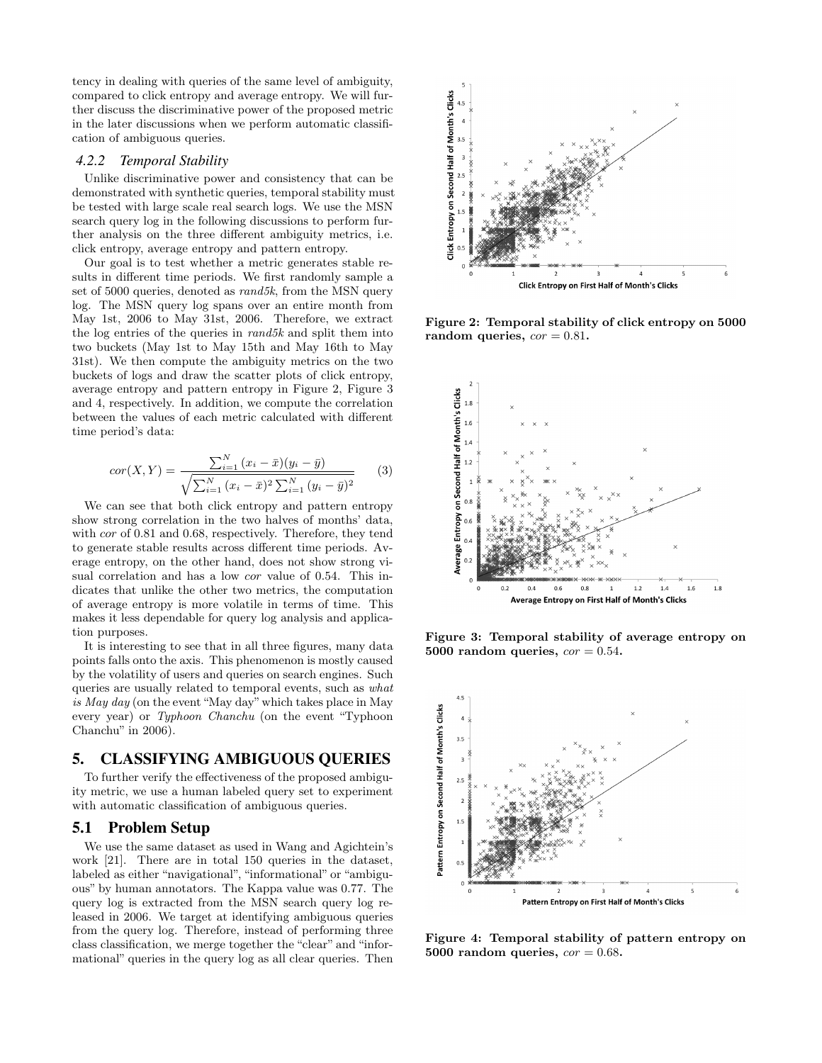tency in dealing with queries of the same level of ambiguity, compared to click entropy and average entropy. We will further discuss the discriminative power of the proposed metric in the later discussions when we perform automatic classification of ambiguous queries.

#### *4.2.2 Temporal Stability*

Unlike discriminative power and consistency that can be demonstrated with synthetic queries, temporal stability must be tested with large scale real search logs. We use the MSN search query log in the following discussions to perform further analysis on the three different ambiguity metrics, i.e. click entropy, average entropy and pattern entropy.

Our goal is to test whether a metric generates stable results in different time periods. We first randomly sample a set of 5000 queries, denoted as *rand5k*, from the MSN query log. The MSN query log spans over an entire month from May 1st, 2006 to May 31st, 2006. Therefore, we extract the log entries of the queries in  $rand5k$  and split them into two buckets (May 1st to May 15th and May 16th to May 31st). We then compute the ambiguity metrics on the two buckets of logs and draw the scatter plots of click entropy, average entropy and pattern entropy in Figure 2, Figure 3 and 4, respectively. In addition, we compute the correlation between the values of each metric calculated with different time period's data:

$$
cor(X,Y) = \frac{\sum_{i=1}^{N} (x_i - \bar{x})(y_i - \bar{y})}{\sqrt{\sum_{i=1}^{N} (x_i - \bar{x})^2 \sum_{i=1}^{N} (y_i - \bar{y})^2}}
$$
(3)

We can see that both click entropy and pattern entropy show strong correlation in the two halves of months' data, with cor of 0.81 and 0.68, respectively. Therefore, they tend to generate stable results across different time periods. Average entropy, on the other hand, does not show strong visual correlation and has a low cor value of 0.54. This indicates that unlike the other two metrics, the computation of average entropy is more volatile in terms of time. This makes it less dependable for query log analysis and application purposes.

It is interesting to see that in all three figures, many data points falls onto the axis. This phenomenon is mostly caused by the volatility of users and queries on search engines. Such queries are usually related to temporal events, such as what  $is\ May\ day$  (on the event "May day" which takes place in May every year) or Typhoon Chanchu (on the event "Typhoon Chanchu" in 2006).

### 5. CLASSIFYING AMBIGUOUS QUERIES

To further verify the effectiveness of the proposed ambiguity metric, we use a human labeled query set to experiment with automatic classification of ambiguous queries.

### 5.1 Problem Setup

We use the same dataset as used in Wang and Agichtein's work [21]. There are in total 150 queries in the dataset, labeled as either "navigational", "informational" or "ambiguous" by human annotators. The Kappa value was 0.77. The query log is extracted from the MSN search query log released in 2006. We target at identifying ambiguous queries from the query log. Therefore, instead of performing three class classification, we merge together the "clear" and "informational" queries in the query log as all clear queries. Then



Figure 2: Temporal stability of click entropy on 5000 random queries,  $cor = 0.81$ .



Figure 3: Temporal stability of average entropy on 5000 random queries,  $cor = 0.54$ .



Figure 4: Temporal stability of pattern entropy on 5000 random queries,  $cor = 0.68$ .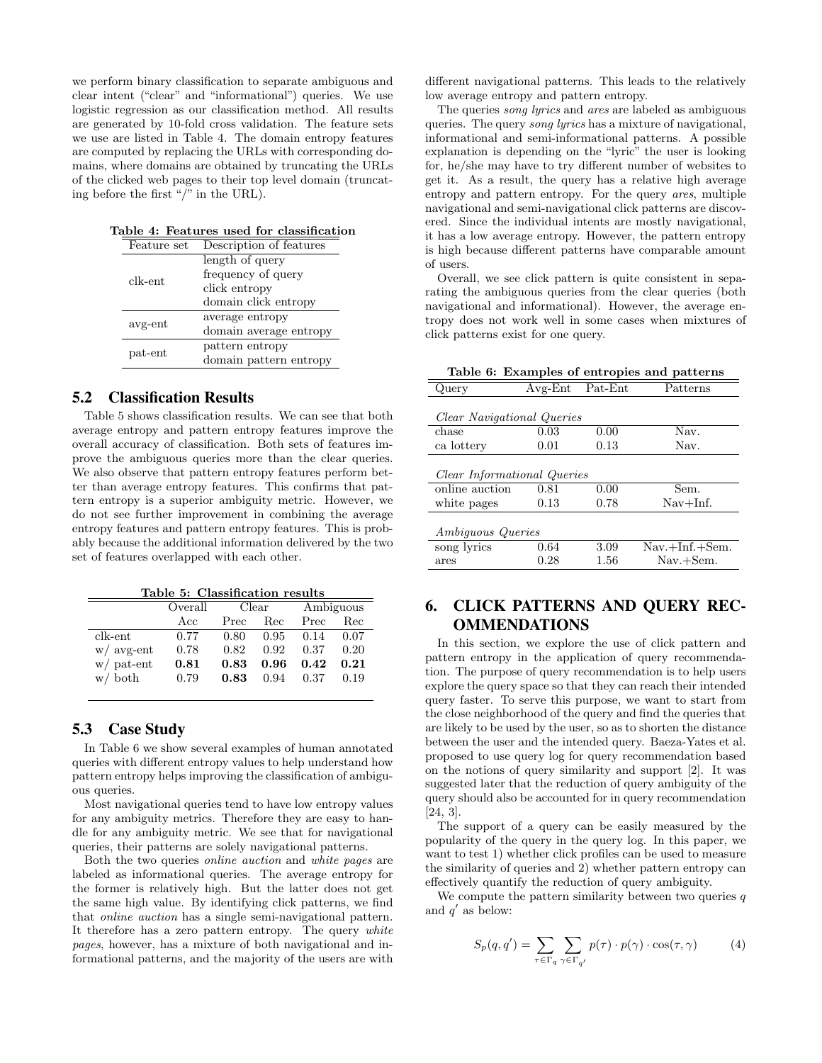we perform binary classification to separate ambiguous and clear intent ("clear" and "informational") queries. We use logistic regression as our classification method. All results are generated by 10-fold cross validation. The feature sets we use are listed in Table 4. The domain entropy features are computed by replacing the URLs with corresponding domains, where domains are obtained by truncating the URLs of the clicked web pages to their top level domain (truncating before the first "/" in the URL).

Table 4: Features used for classification

| Feature set       | Description of features |
|-------------------|-------------------------|
|                   | length of query         |
| clk-ent           | frequency of query      |
|                   | click entropy           |
|                   | domain click entropy    |
| avg-ent           | average entropy         |
|                   | domain average entropy  |
|                   | pattern entropy         |
| $_{\rm{pat-ent}}$ | domain pattern entropy  |

# 5.2 Classification Results

Table 5 shows classification results. We can see that both average entropy and pattern entropy features improve the overall accuracy of classification. Both sets of features improve the ambiguous queries more than the clear queries. We also observe that pattern entropy features perform better than average entropy features. This confirms that pattern entropy is a superior ambiguity metric. However, we do not see further improvement in combining the average entropy features and pattern entropy features. This is probably because the additional information delivered by the two set of features overlapped with each other.

Table 5: Classification results

|                 | Overall | Clear |      | Ambiguous |      |
|-----------------|---------|-------|------|-----------|------|
|                 | Acc     | Prec  | Rec. | Prec      | Rec  |
| clk-ent         | 0.77    | 0.80  | 0.95 | 0.14      | 0.07 |
| $w/$ avg-ent    | 0.78    | 0.82  | 0.92 | 0.37      | 0.20 |
| $w/$ pat-ent    | 0.81    | 0.83  | 0.96 | 0.42      | 0.21 |
| $w/\text{both}$ | 0.79    | 0.83  | 0.94 | 0.37      | 0.19 |
|                 |         |       |      |           |      |

# 5.3 Case Study

In Table 6 we show several examples of human annotated queries with different entropy values to help understand how pattern entropy helps improving the classification of ambiguous queries.

Most navigational queries tend to have low entropy values for any ambiguity metrics. Therefore they are easy to handle for any ambiguity metric. We see that for navigational queries, their patterns are solely navigational patterns.

Both the two queries online auction and white pages are labeled as informational queries. The average entropy for the former is relatively high. But the latter does not get the same high value. By identifying click patterns, we find that online auction has a single semi-navigational pattern. It therefore has a zero pattern entropy. The query white pages, however, has a mixture of both navigational and informational patterns, and the majority of the users are with

different navigational patterns. This leads to the relatively low average entropy and pattern entropy.

The queries song lyrics and ares are labeled as ambiguous queries. The query song lyrics has a mixture of navigational, informational and semi-informational patterns. A possible explanation is depending on the "lyric" the user is looking for, he/she may have to try different number of websites to get it. As a result, the query has a relative high average entropy and pattern entropy. For the query ares, multiple navigational and semi-navigational click patterns are discovered. Since the individual intents are mostly navigational, it has a low average entropy. However, the pattern entropy is high because different patterns have comparable amount of users.

Overall, we see click pattern is quite consistent in separating the ambiguous queries from the clear queries (both navigational and informational). However, the average entropy does not work well in some cases when mixtures of click patterns exist for one query.

Table 6: Examples of entropies and patterns

| Query                       | $Avg-Ent$ | Pat-Ent | Patterns                              |  |  |  |
|-----------------------------|-----------|---------|---------------------------------------|--|--|--|
|                             |           |         |                                       |  |  |  |
| Clear Navigational Queries  |           |         |                                       |  |  |  |
| chase                       | 0.03      | 0.00    | Nav.                                  |  |  |  |
| ca lottery                  | 0.01      | 0.13    | Nav.                                  |  |  |  |
|                             |           |         |                                       |  |  |  |
| Clear Informational Queries |           |         |                                       |  |  |  |
| online auction              | 0.81      | 0.00    | Sem.                                  |  |  |  |
| white pages                 | 0.13      | 0.78    | $\text{Nav+Inf.}$                     |  |  |  |
|                             |           |         |                                       |  |  |  |
| <i>Ambiquous Queries</i>    |           |         |                                       |  |  |  |
| song lyrics                 | 0.64      | 3.09    | $\text{Nav.}+\text{Inf.}+\text{Sem.}$ |  |  |  |
| ares                        | 0.28      | 1.56    | $\text{Nav.} + \text{Sem.}$           |  |  |  |
|                             |           |         |                                       |  |  |  |

# 6. CLICK PATTERNS AND QUERY REC-OMMENDATIONS

In this section, we explore the use of click pattern and pattern entropy in the application of query recommendation. The purpose of query recommendation is to help users explore the query space so that they can reach their intended query faster. To serve this purpose, we want to start from the close neighborhood of the query and find the queries that are likely to be used by the user, so as to shorten the distance between the user and the intended query. Baeza-Yates et al. proposed to use query log for query recommendation based on the notions of query similarity and support [2]. It was suggested later that the reduction of query ambiguity of the query should also be accounted for in query recommendation [24, 3].

The support of a query can be easily measured by the popularity of the query in the query log. In this paper, we want to test 1) whether click profiles can be used to measure the similarity of queries and 2) whether pattern entropy can effectively quantify the reduction of query ambiguity.

We compute the pattern similarity between two queries  $q$ and  $q'$  as below:

$$
S_p(q, q') = \sum_{\tau \in \Gamma_q} \sum_{\gamma \in \Gamma_{q'}} p(\tau) \cdot p(\gamma) \cdot \cos(\tau, \gamma) \tag{4}
$$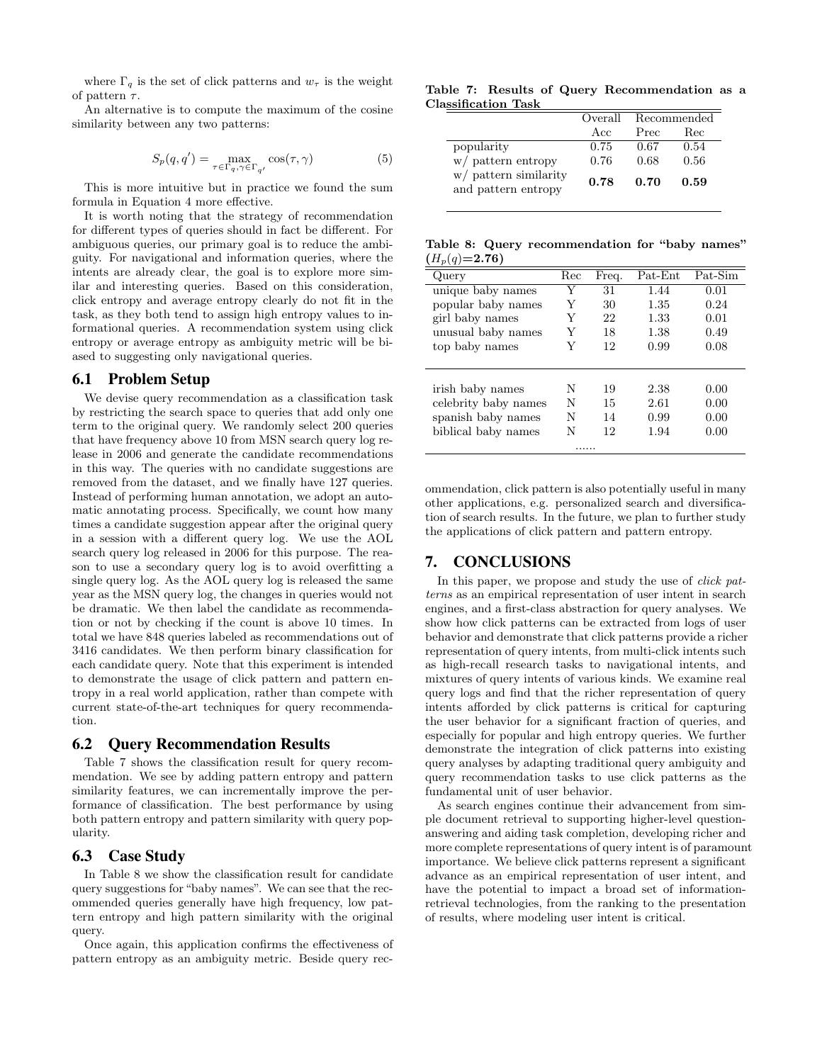where  $\Gamma_q$  is the set of click patterns and  $w_\tau$  is the weight of pattern  $\tau$ .

An alternative is to compute the maximum of the cosine similarity between any two patterns:

$$
S_p(q, q') = \max_{\tau \in \Gamma_q, \gamma \in \Gamma_{q'}} \cos(\tau, \gamma)
$$
 (5)

This is more intuitive but in practice we found the sum formula in Equation 4 more effective.

It is worth noting that the strategy of recommendation for different types of queries should in fact be different. For ambiguous queries, our primary goal is to reduce the ambiguity. For navigational and information queries, where the intents are already clear, the goal is to explore more similar and interesting queries. Based on this consideration, click entropy and average entropy clearly do not fit in the task, as they both tend to assign high entropy values to informational queries. A recommendation system using click entropy or average entropy as ambiguity metric will be biased to suggesting only navigational queries.

# 6.1 Problem Setup

We devise query recommendation as a classification task by restricting the search space to queries that add only one term to the original query. We randomly select 200 queries that have frequency above 10 from MSN search query log release in 2006 and generate the candidate recommendations in this way. The queries with no candidate suggestions are removed from the dataset, and we finally have 127 queries. Instead of performing human annotation, we adopt an automatic annotating process. Specifically, we count how many times a candidate suggestion appear after the original query in a session with a different query log. We use the AOL search query log released in 2006 for this purpose. The reason to use a secondary query log is to avoid overfitting a single query log. As the AOL query log is released the same year as the MSN query log, the changes in queries would not be dramatic. We then label the candidate as recommendation or not by checking if the count is above 10 times. In total we have 848 queries labeled as recommendations out of 3416 candidates. We then perform binary classification for each candidate query. Note that this experiment is intended to demonstrate the usage of click pattern and pattern entropy in a real world application, rather than compete with current state-of-the-art techniques for query recommendation.

### 6.2 Query Recommendation Results

Table 7 shows the classification result for query recommendation. We see by adding pattern entropy and pattern similarity features, we can incrementally improve the performance of classification. The best performance by using both pattern entropy and pattern similarity with query popularity.

# 6.3 Case Study

In Table 8 we show the classification result for candidate query suggestions for "baby names". We can see that the recommended queries generally have high frequency, low pattern entropy and high pattern similarity with the original query.

Once again, this application confirms the effectiveness of pattern entropy as an ambiguity metric. Beside query rec-

Table 7: Results of Query Recommendation as a Classification Task

|                                              | Overall | Recommended |      |
|----------------------------------------------|---------|-------------|------|
|                                              | Acc     | Prec        | Rec  |
| popularity                                   | 0.75    | 0.67        | 0.54 |
| w/ pattern entropy                           | 0.76    | 0.68        | 0.56 |
| w/ pattern similarity<br>and pattern entropy | 0.78    | 0.70        | 0.59 |

Table 8: Query recommendation for "baby names"  $(H_p(q)=2.76)$ 

| Query                | Rec | Freq. | Pat-Ent | Pat-Sim |
|----------------------|-----|-------|---------|---------|
| unique baby names    | Y   | 31    | 1.44    | 0.01    |
| popular baby names   | Y   | 30    | 1.35    | 0.24    |
| girl baby names      | Y   | 22    | 1.33    | 0.01    |
| unusual baby names   | Y   | 18    | 1.38    | 0.49    |
| top baby names       | Y   | 12    | 0.99    | 0.08    |
|                      |     |       |         |         |
| irish baby names     | N   | 19    | 2.38    | 0.00    |
| celebrity baby names | N   | 15    | 2.61    | 0.00    |
| spanish baby names   | N   | 14    | 0.99    | 0.00    |
| biblical baby names  | N   | 12    | 1.94    | 0.00    |
|                      |     |       |         |         |

ommendation, click pattern is also potentially useful in many other applications, e.g. personalized search and diversification of search results. In the future, we plan to further study the applications of click pattern and pattern entropy.

# 7. CONCLUSIONS

In this paper, we propose and study the use of *click pat*terns as an empirical representation of user intent in search engines, and a first-class abstraction for query analyses. We show how click patterns can be extracted from logs of user behavior and demonstrate that click patterns provide a richer representation of query intents, from multi-click intents such as high-recall research tasks to navigational intents, and mixtures of query intents of various kinds. We examine real query logs and find that the richer representation of query intents afforded by click patterns is critical for capturing the user behavior for a significant fraction of queries, and especially for popular and high entropy queries. We further demonstrate the integration of click patterns into existing query analyses by adapting traditional query ambiguity and query recommendation tasks to use click patterns as the fundamental unit of user behavior.

As search engines continue their advancement from simple document retrieval to supporting higher-level questionanswering and aiding task completion, developing richer and more complete representations of query intent is of paramount importance. We believe click patterns represent a significant advance as an empirical representation of user intent, and have the potential to impact a broad set of informationretrieval technologies, from the ranking to the presentation of results, where modeling user intent is critical.